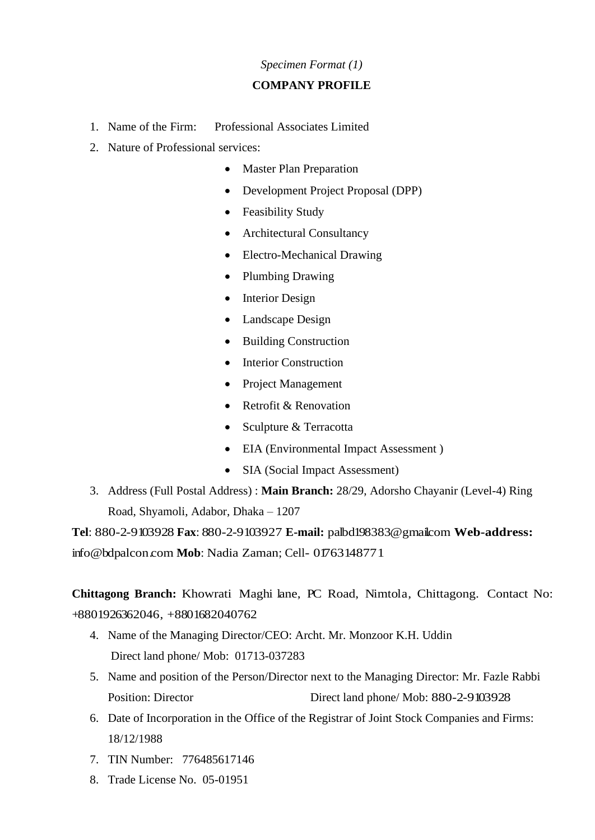### *Specimen Format (1)*

#### **COMPANY PROFILE**

- 1. Name of the Firm: Professional Associates Limited
- 2. Nature of Professional services:
	- Master Plan Preparation
	- Development Project Proposal (DPP)
	- Feasibility Study
	- Architectural Consultancy
	- Electro-Mechanical Drawing
	- Plumbing Drawing
	- Interior Design
	- Landscape Design
	- Building Construction
	- Interior Construction
	- Project Management
	- Retrofit & Renovation
	- Sculpture & Terracotta
	- EIA (Environmental Impact Assessment)
	- SIA (Social Impact Assessment)
- 3. Address (Full Postal Address) : **Main Branch:** 28/29, Adorsho Chayanir (Level-4) Ring Road, Shyamoli, Adabor, Dhaka – 1207

**Tel**: 880-2-9103928 **Fax**: 880-2-9103927 **E-mail:** palbd198383@gmail.com **Web-address:** [info@bdpalcon.com](mailto:info@bdpalcon.com) Mob: Nadia Zaman; Cell- 01763148771

**Chittagong Branch:** Khowrati Maghi lane, PC Road, Nimtola, Chittagong. Contact No: +8801926362046, +8801682040762

- 4. Name of the Managing Director/CEO: Archt. Mr. Monzoor K.H. Uddin Direct land phone/ Mob: 01713-037283
- 5. Name and position of the Person/Director next to the Managing Director: Mr. Fazle Rabbi Position: Director Direct land phone/ Mob: 880-2-9103928
- 6. Date of Incorporation in the Office of the Registrar of Joint Stock Companies and Firms: 18/12/1988
- 7. TIN Number: 776485617146
- 8. Trade License No. 05-01951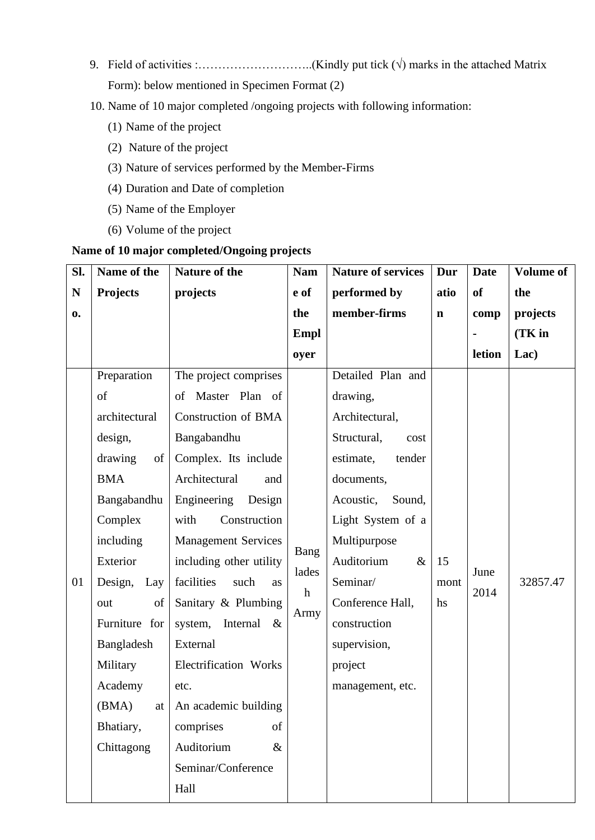- 9. Field of activities :…………………………………..(Kindly put tick  $(\sqrt{)}$  marks in the attached Matrix Form): below mentioned in Specimen Format (2)
- 10. Name of 10 major completed /ongoing projects with following information:
	- (1) Name of the project
	- (2) Nature of the project
	- (3) Nature of services performed by the Member-Firms
	- (4) Duration and Date of completion
	- (5) Name of the Employer
	- (6) Volume of the project

## **Name of 10 major completed/Ongoing projects**

| SI.         | Name of the     | Nature of the                   | <b>Nam</b>   | <b>Nature of services</b> | Dur         | <b>Date</b> | <b>Volume of</b> |
|-------------|-----------------|---------------------------------|--------------|---------------------------|-------------|-------------|------------------|
| $\mathbf N$ | <b>Projects</b> | projects                        | e of         | performed by              | atio        | of          | the              |
| 0.          |                 |                                 | the          | member-firms              | $\mathbf n$ | comp        | projects         |
|             |                 |                                 | <b>Empl</b>  |                           |             |             | $(TK)$ in        |
|             |                 |                                 | oyer         |                           |             | letion      | Lac)             |
|             | Preparation     | The project comprises           |              | Detailed Plan and         |             |             |                  |
|             | of              | of Master Plan of               |              | drawing,                  |             |             |                  |
|             | architectural   | <b>Construction of BMA</b>      |              | Architectural,            |             |             |                  |
|             | design,         | Bangabandhu                     |              | Structural,<br>cost       |             | June        |                  |
|             | drawing<br>of   | Complex. Its include            |              | tender<br>estimate,       |             |             |                  |
|             | <b>BMA</b>      | Architectural<br>and            |              | documents,                |             |             |                  |
|             | Bangabandhu     | Engineering Design              |              | Acoustic,<br>Sound,       |             |             |                  |
|             | Complex         | with<br>Construction            |              | Light System of a         |             |             |                  |
|             | including       | <b>Management Services</b>      | Bang         | Multipurpose              |             |             |                  |
|             | Exterior        | including other utility         | lades        | Auditorium<br>$\&$        | 15          |             |                  |
| 01          | Design, Lay     | facilities<br>such<br>as        | $\mathbf{h}$ | Seminar/                  | mont        | 2014        | 32857.47         |
|             | of<br>out       | Sanitary & Plumbing             | Army         | Conference Hall,          | hs          |             |                  |
|             | Furniture for   | system, Internal<br>$-\&$       |              | construction              |             |             |                  |
|             | Bangladesh      | External                        |              | supervision,              |             |             |                  |
|             | Military        | Electrification Works           |              | project                   |             |             |                  |
|             | Academy         | etc.                            |              | management, etc.          |             |             |                  |
|             |                 | (BMA) at   An academic building |              |                           |             |             |                  |
|             | Bhatiary,       | comprises<br>of                 |              |                           |             |             |                  |
|             | Chittagong      | Auditorium<br>$\&$              |              |                           |             |             |                  |
|             |                 | Seminar/Conference              |              |                           |             |             |                  |
|             |                 | Hall                            |              |                           |             |             |                  |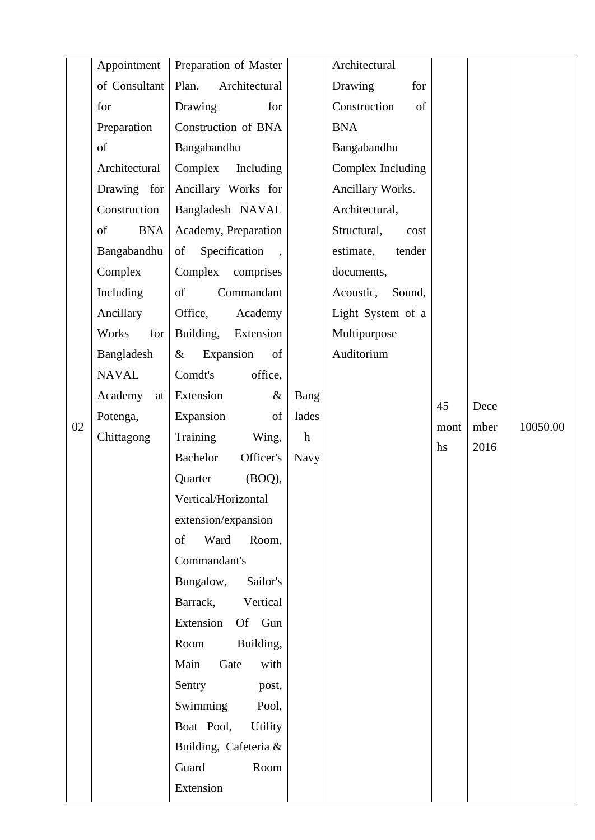|    | Appointment      | Preparation of Master        |             | Architectural       |      |      |          |
|----|------------------|------------------------------|-------------|---------------------|------|------|----------|
|    | of Consultant    | Plan.<br>Architectural       |             | Drawing<br>for      |      |      |          |
|    | for              | Drawing<br>for               |             | Construction<br>of  |      |      |          |
|    | Preparation      | Construction of BNA          |             | <b>BNA</b>          |      |      |          |
|    | of               | Bangabandhu                  |             | Bangabandhu         |      |      |          |
|    | Architectural    | Complex<br>Including         |             | Complex Including   |      |      |          |
|    | Drawing for      | Ancillary Works for          |             | Ancillary Works.    |      |      |          |
|    | Construction     | Bangladesh NAVAL             |             | Architectural,      |      |      |          |
|    | of<br><b>BNA</b> | Academy, Preparation         |             | Structural,<br>cost |      |      |          |
|    | Bangabandhu      | Specification<br>of          |             | estimate,<br>tender |      |      |          |
|    | Complex          | Complex<br>comprises         |             | documents,          |      |      |          |
|    | Including        | of<br>Commandant             |             | Acoustic, Sound,    |      |      |          |
|    | Ancillary        | Office,<br>Academy           |             | Light System of a   |      |      |          |
|    | Works<br>for     | Building,<br>Extension       |             | Multipurpose        |      |      |          |
|    | Bangladesh       | Expansion<br>of<br>$\&$      |             | Auditorium          |      |      |          |
|    | <b>NAVAL</b>     | Comdt's<br>office,           |             |                     |      |      |          |
|    | Academy<br>at    | Extension<br>$\&$            | Bang        |                     | 45   | Dece |          |
| 02 | Potenga,         | Expansion<br>of              | lades       |                     | mont | mber | 10050.00 |
|    | Chittagong       | Training<br>Wing,            | $\mathbf h$ |                     | hs   | 2016 |          |
|    |                  | <b>Bachelor</b><br>Officer's | <b>Navy</b> |                     |      |      |          |
|    |                  | (BOQ),<br>Quarter            |             |                     |      |      |          |
|    |                  | Vertical/Horizontal          |             |                     |      |      |          |
|    |                  | extension/expansion          |             |                     |      |      |          |
|    |                  | Ward<br>of<br>Room,          |             |                     |      |      |          |
|    |                  | Commandant's                 |             |                     |      |      |          |
|    |                  | Bungalow,<br>Sailor's        |             |                     |      |      |          |
|    |                  | Vertical<br>Barrack,         |             |                     |      |      |          |
|    |                  | Extension<br>Of Gun          |             |                     |      |      |          |
|    |                  | Room<br>Building,            |             |                     |      |      |          |
|    |                  | Main<br>Gate<br>with         |             |                     |      |      |          |
|    |                  | Sentry<br>post,              |             |                     |      |      |          |
|    |                  | Swimming<br>Pool,            |             |                     |      |      |          |
|    |                  | Boat Pool,<br><b>Utility</b> |             |                     |      |      |          |
|    |                  | Building, Cafeteria &        |             |                     |      |      |          |
|    |                  | Guard<br>Room                |             |                     |      |      |          |
|    |                  | Extension                    |             |                     |      |      |          |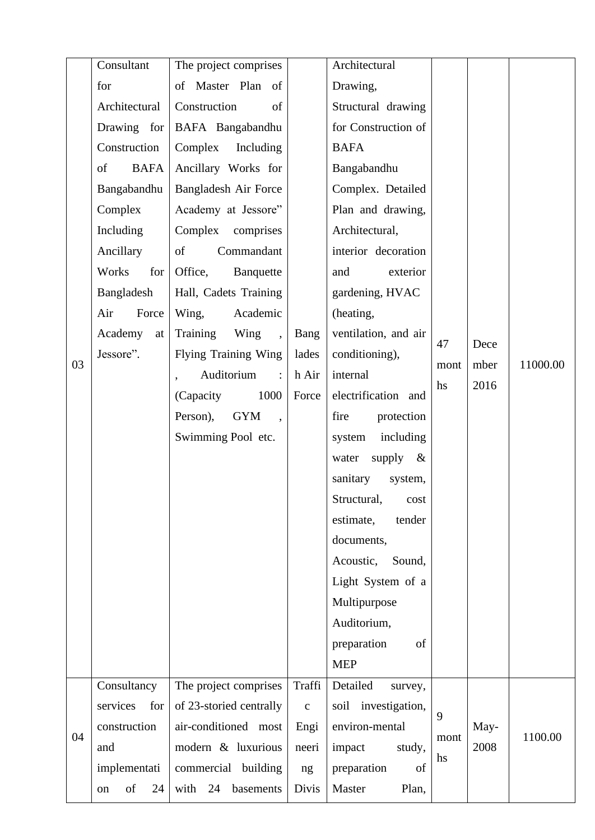|    | Consultant        | The project comprises                    |              | Architectural           |      |      |          |
|----|-------------------|------------------------------------------|--------------|-------------------------|------|------|----------|
|    | for               | of Master Plan of                        |              | Drawing,                |      |      |          |
|    | Architectural     | Construction<br>of                       |              | Structural drawing      |      |      |          |
|    | Drawing for       | BAFA Bangabandhu                         |              | for Construction of     |      |      |          |
|    | Construction      | Complex<br>Including                     |              | <b>BAFA</b>             |      |      |          |
|    | of<br><b>BAFA</b> | Ancillary Works for                      |              | Bangabandhu             |      |      |          |
|    | Bangabandhu       | Bangladesh Air Force                     |              | Complex. Detailed       |      |      |          |
|    | Complex           | Academy at Jessore"                      |              | Plan and drawing,       |      |      |          |
|    | Including         | Complex<br>comprises                     |              | Architectural,          |      |      |          |
|    | Ancillary         | of<br>Commandant                         |              | interior decoration     |      |      |          |
|    | Works<br>for      | Office,<br>Banquette                     |              | exterior<br>and         |      |      |          |
|    | Bangladesh        | Hall, Cadets Training                    |              | gardening, HVAC         |      |      |          |
|    | Air<br>Force      | Academic<br>Wing,                        |              | (heating,               |      |      |          |
|    | Academy<br>at     | Training<br>Wing<br>$\ddot{\phantom{a}}$ | Bang         | ventilation, and air    | 47   | Dece |          |
| 03 | Jessore".         | <b>Flying Training Wing</b>              | lades        | conditioning),          | mont | mber | 11000.00 |
|    |                   | Auditorium<br>$\mathbb{R}^{\mathbb{Z}}$  | h Air        | internal                | hs   | 2016 |          |
|    |                   | 1000<br>(Capacity)                       | Force        | electrification and     |      |      |          |
|    |                   | <b>GYM</b><br>Person),                   |              | fire<br>protection      |      |      |          |
|    |                   | Swimming Pool etc.                       |              | including<br>system     |      |      |          |
|    |                   |                                          |              | supply<br>water<br>$\&$ |      |      |          |
|    |                   |                                          |              | sanitary<br>system,     |      |      |          |
|    |                   |                                          |              | Structural,<br>cost     |      |      |          |
|    |                   |                                          |              | estimate,<br>tender     |      |      |          |
|    |                   |                                          |              | documents,              |      |      |          |
|    |                   |                                          |              | Acoustic,<br>Sound,     |      |      |          |
|    |                   |                                          |              | Light System of a       |      |      |          |
|    |                   |                                          |              | Multipurpose            |      |      |          |
|    |                   |                                          |              | Auditorium,             |      |      |          |
|    |                   |                                          |              | preparation<br>of       |      |      |          |
|    |                   |                                          |              | <b>MEP</b>              |      |      |          |
|    | Consultancy       | The project comprises                    | Traffi       | Detailed<br>survey,     |      |      |          |
|    | services<br>for   | of 23-storied centrally                  | $\mathbf{C}$ | soil investigation,     | 9    |      |          |
| 04 | construction      | air-conditioned most                     | Engi         | environ-mental          | mont | May- | 1100.00  |
|    | and               | modern & luxurious                       | neeri        | impact<br>study,        | hs   | 2008 |          |
|    | implementati      | commercial building                      | ng           | preparation<br>of       |      |      |          |
|    | of<br>24<br>on    | with<br>24<br>basements                  | Divis        | Master<br>Plan,         |      |      |          |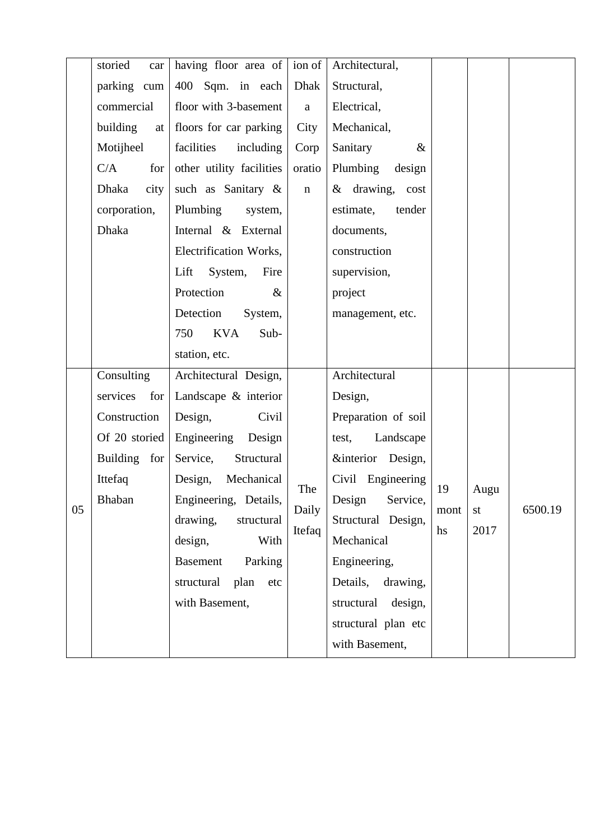|    | storied<br>car       | having floor area of       | ion of       | Architectural,        |      |      |         |
|----|----------------------|----------------------------|--------------|-----------------------|------|------|---------|
|    | parking cum          | 400 Sqm. in each           | Dhak         | Structural,           |      |      |         |
|    | commercial           | floor with 3-basement      | $\mathbf{a}$ | Electrical,           |      |      |         |
|    | building<br>at       | floors for car parking     | City         | Mechanical,           |      |      |         |
|    | Motijheel            | facilities<br>including    | Corp         | Sanitary<br>&         |      |      |         |
|    | C/A<br>for           | other utility facilities   | oratio       | Plumbing<br>design    |      |      |         |
|    | <b>Dhaka</b><br>city | such as Sanitary &         | $\mathbf n$  | & drawing, cost       |      |      |         |
|    | corporation,         | Plumbing<br>system,        |              | tender<br>estimate,   |      |      |         |
|    | <b>Dhaka</b>         | Internal & External        |              | documents,            |      |      |         |
|    |                      | Electrification Works,     |              | construction          |      |      |         |
|    |                      | Lift<br>System,<br>Fire    |              | supervision,          |      |      |         |
|    |                      | Protection<br>$\&$         |              | project               |      |      |         |
|    |                      | Detection<br>System,       |              | management, etc.      |      |      |         |
|    |                      | <b>KVA</b><br>750<br>Sub-  |              |                       |      |      |         |
|    |                      | station, etc.              |              |                       |      |      |         |
|    | Consulting           | Architectural Design,      |              | Architectural         |      |      |         |
|    | services<br>for      | Landscape & interior       |              | Design,               |      |      |         |
|    | Construction         | Civil<br>Design,           |              | Preparation of soil   |      |      |         |
|    | Of 20 storied        | Engineering Design         |              | Landscape<br>test,    |      |      |         |
|    | Building for         | Structural<br>Service,     |              | &interior Design,     |      |      |         |
|    | Ittefaq              | Mechanical<br>Design,      | The          | Civil Engineering     | 19   | Augu |         |
| 05 | <b>Bhaban</b>        | Engineering, Details,      | Daily        | Design<br>Service     | mont | st   | 6500.19 |
|    |                      | drawing,<br>structural     | Itefaq       | Structural Design,    | hs   | 2017 |         |
|    |                      | design,<br>With            |              | Mechanical            |      |      |         |
|    |                      | Parking<br><b>Basement</b> |              | Engineering,          |      |      |         |
|    |                      | structural<br>plan<br>etc  |              | drawing,<br>Details,  |      |      |         |
|    |                      | with Basement,             |              | structural<br>design, |      |      |         |
|    |                      |                            |              | structural plan etc   |      |      |         |
|    |                      |                            |              |                       |      |      |         |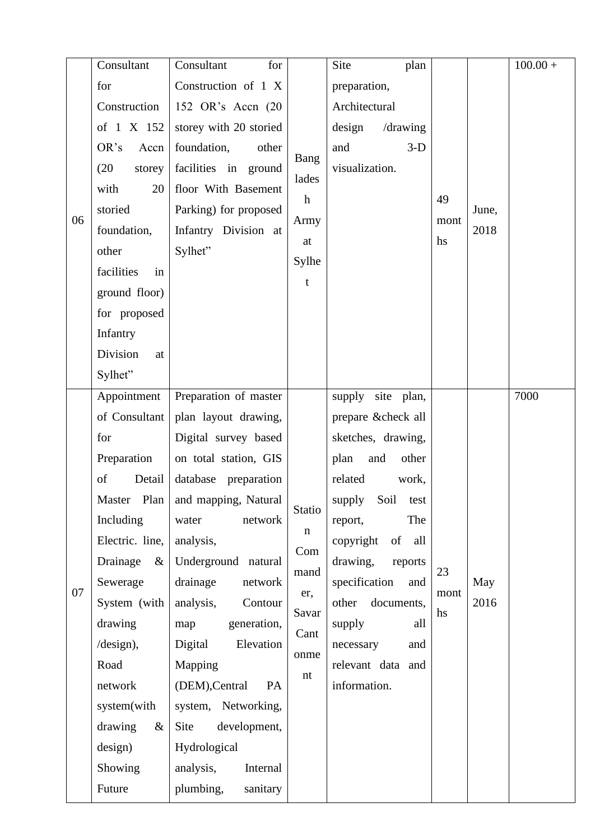|    | Consultant       | Consultant<br>for                  |               | Site<br>plan         |            |       | $100.00 +$ |
|----|------------------|------------------------------------|---------------|----------------------|------------|-------|------------|
|    | for              | Construction of 1 X                |               | preparation,         |            |       |            |
|    | Construction     | 152 OR's Accn (20                  |               | Architectural        |            |       |            |
|    | of 1 X 152       | storey with 20 storied             |               | design<br>/drawing   |            |       |            |
|    | OR's<br>Accn     | foundation,<br>other               | Bang<br>lades | and<br>$3-D$         |            |       |            |
|    | (20)<br>storey   | facilities in ground               |               | visualization.       |            |       |            |
|    | 20<br>with       | floor With Basement                |               |                      | 49         |       |            |
| 06 | storied          | Parking) for proposed              | $\mathbf{h}$  |                      |            | June, |            |
|    | foundation,      | Infantry Division at               | Army          |                      | mont<br>hs | 2018  |            |
|    | other            | Sylhet"                            | at<br>Sylhe   |                      |            |       |            |
|    | facilities<br>in |                                    |               |                      |            |       |            |
|    | ground floor)    |                                    | $\mathbf t$   |                      |            |       |            |
|    | for proposed     |                                    |               |                      |            |       |            |
|    | Infantry         |                                    |               |                      |            |       |            |
|    | Division<br>at   |                                    |               |                      |            |       |            |
|    | Sylhet"          |                                    |               |                      |            |       |            |
|    | Appointment      | Preparation of master              |               | supply<br>site plan, |            |       | 7000       |
|    | of Consultant    | plan layout drawing,               |               | prepare ✓ all        |            |       |            |
|    | for              | Digital survey based               |               | sketches, drawing,   |            |       |            |
|    | Preparation      | on total station, GIS              |               | other<br>plan<br>and |            |       |            |
|    | of<br>Detail     | database preparation               |               | related<br>work,     |            |       |            |
|    |                  | Master Plan   and mapping, Natural | Statio        | supply Soil test     |            |       |            |
|    | Including        | network<br>water                   | $\mathbf n$   | The<br>report,       |            |       |            |
|    | Electric. line,  | analysis,                          | Com           | of all<br>copyright  |            |       |            |
|    | Drainage<br>$\&$ | Underground natural                | mand          | drawing,<br>reports  | 23         |       |            |
| 07 | Sewerage         | drainage<br>network                | er,           | specification<br>and | mont       | May   |            |
|    | System (with     | analysis,<br>Contour               | Savar         | documents,<br>other  | hs         | 2016  |            |
|    | drawing          | map<br>generation,                 | Cant          | supply<br>all        |            |       |            |
|    | /design),        | Elevation<br>Digital               | onme          | necessary<br>and     |            |       |            |
|    | Road             | Mapping                            | nt            | relevant data and    |            |       |            |
|    | network          | (DEM), Central<br>PA               |               | information.         |            |       |            |
|    | system(with      | system, Networking,                |               |                      |            |       |            |
|    | drawing<br>$\&$  | Site<br>development,               |               |                      |            |       |            |
|    | design)          | Hydrological                       |               |                      |            |       |            |
|    | Showing          | analysis,<br>Internal              |               |                      |            |       |            |
|    | Future           | plumbing,<br>sanitary              |               |                      |            |       |            |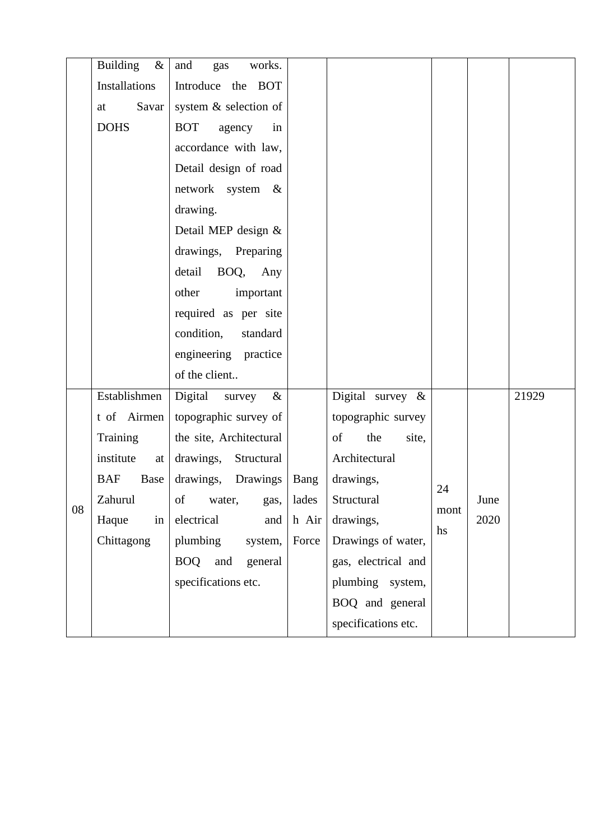|    | <b>Building</b><br>$\&$ | and<br>works.<br>gas         |       |                     |            |      |       |
|----|-------------------------|------------------------------|-------|---------------------|------------|------|-------|
|    | <b>Installations</b>    | Introduce the BOT            |       |                     |            |      |       |
|    | Savar<br>at             | system & selection of        |       |                     |            |      |       |
|    | <b>DOHS</b>             | <b>BOT</b><br>agency<br>in   |       |                     |            |      |       |
|    |                         | accordance with law,         |       |                     |            |      |       |
|    |                         | Detail design of road        |       |                     |            |      |       |
|    |                         | network system &             |       |                     |            |      |       |
|    |                         | drawing.                     |       |                     |            |      |       |
|    |                         | Detail MEP design &          |       |                     |            |      |       |
|    |                         | drawings, Preparing          |       |                     |            |      |       |
|    |                         | BOQ,<br>detail<br>Any        |       |                     |            |      |       |
|    |                         | other<br>important           |       |                     |            |      |       |
|    |                         | required as per site         |       |                     |            |      |       |
|    |                         | condition,<br>standard       |       |                     |            |      |       |
|    |                         | engineering practice         |       |                     |            |      |       |
|    |                         | of the client                |       |                     |            |      |       |
|    | Establishmen            | Digital<br>$\&$<br>survey    |       | Digital survey &    |            |      | 21929 |
|    | t of Airmen             | topographic survey of        |       | topographic survey  |            |      |       |
|    | Training                | the site, Architectural      |       | of<br>the<br>site,  |            |      |       |
|    | institute<br>at         | drawings, Structural         |       | Architectural       |            |      |       |
|    | <b>BAF</b><br>Base      | drawings, Drawings           | Bang  | drawings,           | 24         |      |       |
| 08 | Zahurul                 | of water, gas, lades         |       | Structural          |            | June |       |
|    | Haque<br>in             | electrical<br>and            | h Air | drawings,           | mont<br>hs | 2020 |       |
|    | Chittagong              | plumbing<br>system,          | Force | Drawings of water,  |            |      |       |
|    |                         | <b>BOQ</b><br>and<br>general |       | gas, electrical and |            |      |       |
|    |                         | specifications etc.          |       | plumbing system,    |            |      |       |
|    |                         |                              |       | BOQ and general     |            |      |       |
|    |                         |                              |       | specifications etc. |            |      |       |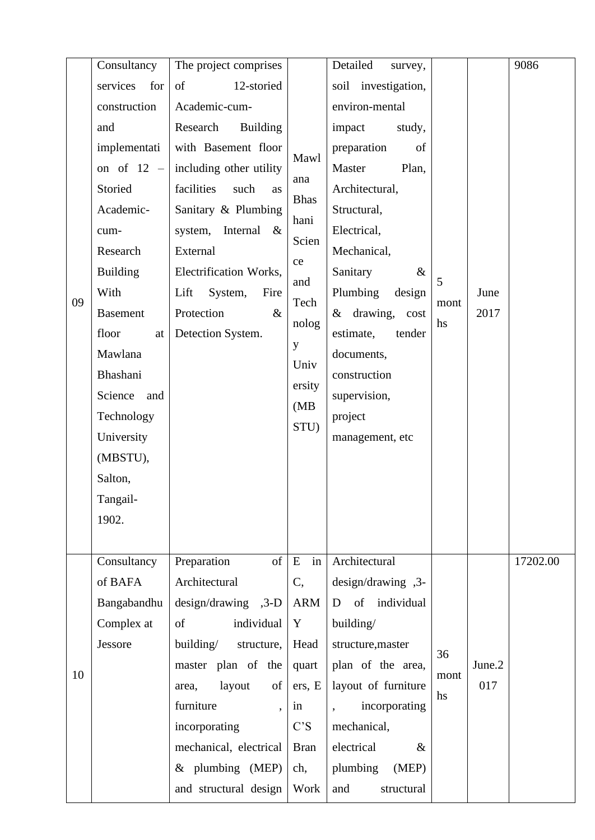|    | Consultancy     | The project comprises       |                    | Detailed<br>survey, |      |        | 9086     |
|----|-----------------|-----------------------------|--------------------|---------------------|------|--------|----------|
|    | services<br>for | 12-storied<br>of            |                    | soil investigation, |      |        |          |
|    | construction    | Academic-cum-               |                    | environ-mental      |      |        |          |
|    | and             | Research<br><b>Building</b> |                    | impact<br>study,    |      |        |          |
|    | implementati    | with Basement floor         |                    | preparation<br>of   |      |        |          |
|    | on of $12 -$    | including other utility     | Mawl               | Master<br>Plan,     |      |        |          |
|    | Storied         | facilities<br>such<br>as    | ana<br><b>Bhas</b> | Architectural,      |      |        |          |
|    | Academic-       | Sanitary & Plumbing         | hani               | Structural,         |      |        |          |
|    | cum-            | system, Internal<br>$\&$    | Scien              | Electrical,         |      |        |          |
|    | Research        | External                    | ce                 | Mechanical,         |      |        |          |
|    | <b>Building</b> | Electrification Works,      | and                | Sanitary<br>$\&$    | 5    |        |          |
| 09 | With            | Lift<br>System,<br>Fire     | Tech               | Plumbing<br>design  | mont | June   |          |
|    | <b>Basement</b> | Protection<br>$\&$          | nolog              | & drawing, cost     | hs   | 2017   |          |
|    | floor<br>at     | Detection System.           | y                  | estimate,<br>tender |      |        |          |
|    | Mawlana         |                             | Univ               | documents,          |      |        |          |
|    | Bhashani        |                             | ersity             | construction        |      |        |          |
|    | Science and     |                             | (MB)               | supervision,        |      |        |          |
|    | Technology      |                             | STU)               | project             |      |        |          |
|    | University      |                             |                    | management, etc     |      |        |          |
|    | (MBSTU),        |                             |                    |                     |      |        |          |
|    | Salton,         |                             |                    |                     |      |        |          |
|    | Tangail-        |                             |                    |                     |      |        |          |
|    | 1902.           |                             |                    |                     |      |        |          |
|    |                 |                             |                    |                     |      |        |          |
|    | Consultancy     | Preparation<br>of           | E<br>in            | Architectural       |      |        | 17202.00 |
|    | of BAFA         | Architectural               | C,                 | design/drawing ,3-  |      |        |          |
|    | Bangabandhu     | $design/drawing$ , 3-D      | <b>ARM</b>         | of individual<br>D  |      |        |          |
|    | Complex at      | of<br>individual            | Y                  | building/           |      |        |          |
|    | Jessore         | building/<br>structure,     | Head               | structure, master   | 36   |        |          |
| 10 |                 | master plan of the          | quart              | plan of the area,   | mont | June.2 |          |
|    |                 | layout<br>of<br>area,       | ers, E             | layout of furniture | hs   | 017    |          |
|    |                 | furniture                   | in                 | incorporating       |      |        |          |
|    |                 | incorporating               | C'S                | mechanical,         |      |        |          |
|    |                 | mechanical, electrical      | <b>Bran</b>        | electrical<br>$\&$  |      |        |          |
|    |                 | $&$ plumbing (MEP)          | ch,                | plumbing<br>(MEP)   |      |        |          |
|    |                 | and structural design       | Work               | and<br>structural   |      |        |          |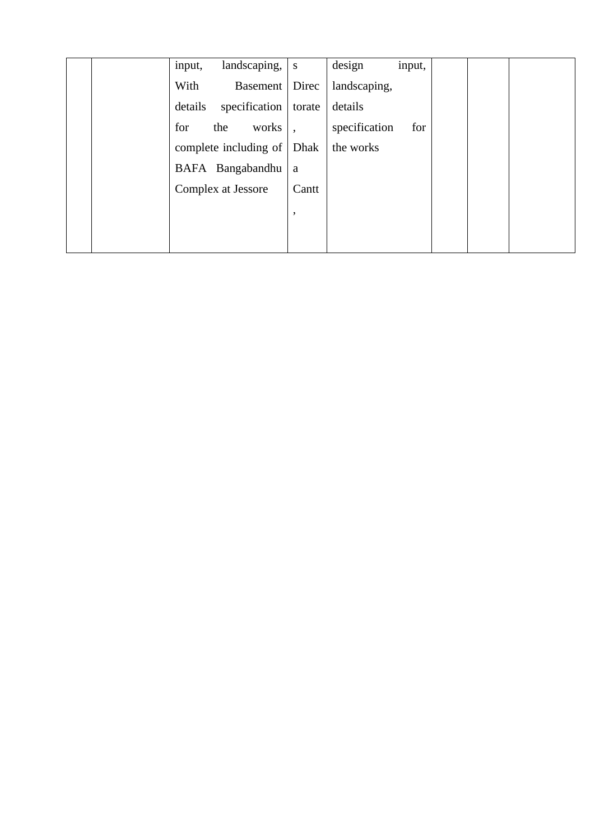| landscaping,<br>input,   | S      | design<br>input,     |
|--------------------------|--------|----------------------|
| With<br><b>Basement</b>  | Direc  | landscaping,         |
| details<br>specification | torate | details              |
| for<br>works<br>the      |        | specification<br>for |
| complete including of    | Dhak   | the works            |
| BAFA Bangabandhu         | a      |                      |
| Complex at Jessore       | Cantt  |                      |
|                          | ,      |                      |
|                          |        |                      |
|                          |        |                      |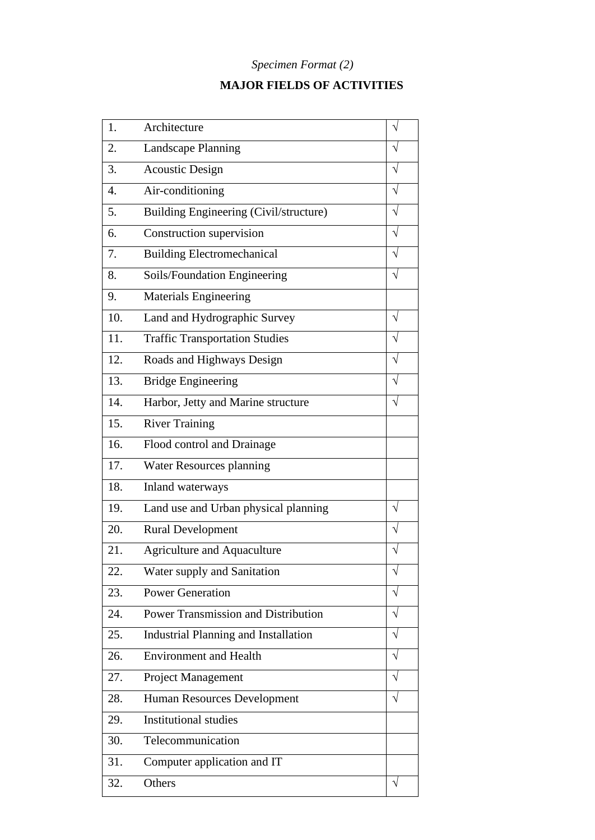# *Specimen Format (2)*

# **MAJOR FIELDS OF ACTIVITIES**

| 1.  | Architecture                                |           |
|-----|---------------------------------------------|-----------|
| 2.  | <b>Landscape Planning</b>                   |           |
| 3.  | <b>Acoustic Design</b>                      |           |
| 4.  | Air-conditioning                            |           |
| 5.  | Building Engineering (Civil/structure)      |           |
| 6.  | Construction supervision                    |           |
| 7.  | <b>Building Electromechanical</b>           |           |
| 8.  | Soils/Foundation Engineering                |           |
| 9.  | <b>Materials Engineering</b>                |           |
| 10. | Land and Hydrographic Survey                | V         |
| 11. | <b>Traffic Transportation Studies</b>       |           |
| 12. | Roads and Highways Design                   |           |
| 13. | <b>Bridge Engineering</b>                   |           |
| 14. | Harbor, Jetty and Marine structure          |           |
| 15. | <b>River Training</b>                       |           |
| 16. | Flood control and Drainage                  |           |
| 17. | Water Resources planning                    |           |
| 18. | Inland waterways                            |           |
| 19. | Land use and Urban physical planning        |           |
| 20. | <b>Rural Development</b>                    |           |
| 21. | <b>Agriculture and Aquaculture</b>          |           |
| 22. | Water supply and Sanitation                 | V         |
| 23. | <b>Power Generation</b>                     | V         |
| 24. | Power Transmission and Distribution         | V         |
| 25. | <b>Industrial Planning and Installation</b> | V         |
| 26. | <b>Environment and Health</b>               |           |
| 27. | Project Management                          | V         |
| 28. | Human Resources Development                 |           |
| 29. | <b>Institutional studies</b>                |           |
| 30. | Telecommunication                           |           |
| 31. | Computer application and IT                 |           |
| 32. | Others                                      | $\sqrt{}$ |